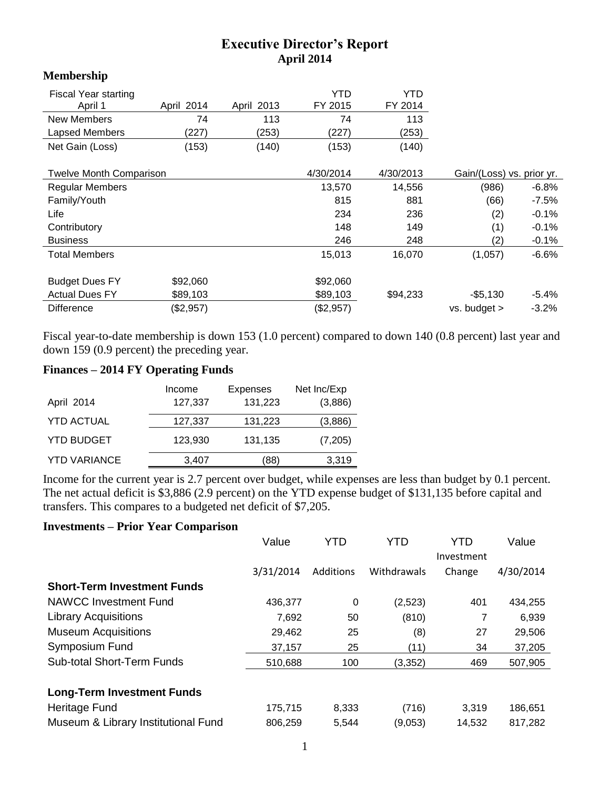## **Executive Director's Report April 2014**

## **Membership**

| <b>Fiscal Year starting</b><br>April 1 | April 2014 | April 2013 | YTD<br>FY 2015 | YTD<br>FY 2014            |              |          |
|----------------------------------------|------------|------------|----------------|---------------------------|--------------|----------|
| <b>New Members</b>                     | 74         | 113        | 74             | 113                       |              |          |
| Lapsed Members                         | (227)      | (253)      | (227)          | (253)                     |              |          |
| Net Gain (Loss)                        | (153)      | (140)      | (153)          | (140)                     |              |          |
|                                        |            |            |                |                           |              |          |
| <b>Twelve Month Comparison</b>         |            | 4/30/2014  | 4/30/2013      | Gain/(Loss) vs. prior yr. |              |          |
| <b>Regular Members</b>                 |            |            | 13,570         | 14,556                    | (986)        | $-6.8%$  |
| Family/Youth                           |            |            | 815            | 881                       | (66)         | $-7.5%$  |
| Life                                   |            |            | 234            | 236                       | (2)          | $-0.1%$  |
| Contributory                           |            |            | 148            | 149                       | (1)          | $-0.1%$  |
| <b>Business</b>                        |            |            | 246            | 248                       | (2)          | $-0.1%$  |
| <b>Total Members</b>                   |            |            | 15,013         | 16,070                    | (1,057)      | $-6.6%$  |
|                                        |            |            |                |                           |              |          |
| <b>Budget Dues FY</b>                  | \$92,060   |            | \$92,060       |                           |              |          |
| <b>Actual Dues FY</b>                  | \$89,103   |            | \$89,103       | \$94,233                  | $-$ \$5,130  | $-5.4\%$ |
| <b>Difference</b>                      | (\$2,957)  |            | (\$2,957)      |                           | vs. budget > | $-3.2%$  |

Fiscal year-to-date membership is down 153 (1.0 percent) compared to down 140 (0.8 percent) last year and down 159 (0.9 percent) the preceding year.

## **Finances – 2014 FY Operating Funds**

| April 2014          | Income<br>127,337 | <b>Expenses</b><br>131,223 | Net Inc/Exp<br>(3,886) |
|---------------------|-------------------|----------------------------|------------------------|
| <b>YTD ACTUAL</b>   | 127,337           | 131,223                    | (3,886)                |
| <b>YTD BUDGET</b>   | 123,930           | 131,135                    | (7,205)                |
| <b>YTD VARIANCE</b> | 3,407             | (88                        | 3,319                  |

Income for the current year is 2.7 percent over budget, while expenses are less than budget by 0.1 percent. The net actual deficit is \$3,886 (2.9 percent) on the YTD expense budget of \$131,135 before capital and transfers. This compares to a budgeted net deficit of \$7,205.

## **Investments – Prior Year Comparison**

|                                     | Value     | YTD       | YTD         | YTD        | Value     |
|-------------------------------------|-----------|-----------|-------------|------------|-----------|
|                                     |           |           |             | Investment |           |
|                                     | 3/31/2014 | Additions | Withdrawals | Change     | 4/30/2014 |
| <b>Short-Term Investment Funds</b>  |           |           |             |            |           |
| NAWCC Investment Fund               | 436.377   | 0         | (2,523)     | 401        | 434,255   |
| <b>Library Acquisitions</b>         | 7,692     | 50        | (810)       | 7          | 6,939     |
| <b>Museum Acquisitions</b>          | 29,462    | 25        | (8)         | 27         | 29,506    |
| Symposium Fund                      | 37,157    | 25        | (11)        | 34         | 37,205    |
| <b>Sub-total Short-Term Funds</b>   | 510,688   | 100       | (3, 352)    | 469        | 507,905   |
|                                     |           |           |             |            |           |
| <b>Long-Term Investment Funds</b>   |           |           |             |            |           |
| Heritage Fund                       | 175,715   | 8,333     | (716)       | 3,319      | 186,651   |
| Museum & Library Institutional Fund | 806,259   | 5,544     | (9,053)     | 14,532     | 817,282   |